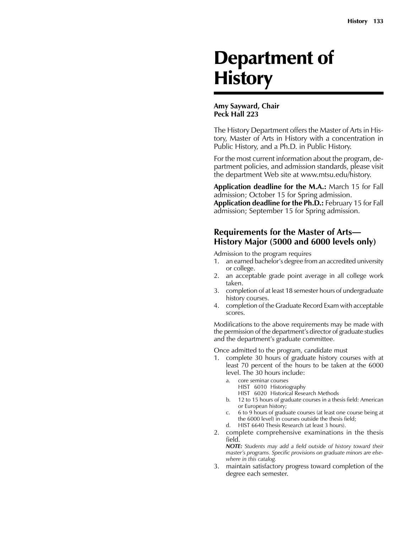# Department of **History**

#### **Amy Sayward, Chair Peck Hall 223**

The History Department offers the Master of Arts in History, Master of Arts in History with a concentration in Public History, and a Ph.D. in Public History.

For the most current information about the program, department policies, and admission standards, please visit the department Web site at www.mtsu.edu/history.

**Application deadline for the M.A.:** March 15 for Fall admission; October 15 for Spring admission. **Application deadline for the Ph.D.:** February 15 for Fall admission; September 15 for Spring admission.

## **Requirements for the Master of Arts— History Major (5000 and 6000 levels only)**

Admission to the program requires

- 1. an earned bachelor's degree from an accredited university or college.
- 2. an acceptable grade point average in all college work taken.
- 3. completion of at least 18 semester hours of undergraduate history courses.
- 4. completion of the Graduate Record Exam with acceptable scores.

Modifications to the above requirements may be made with the permission of the department's director of graduate studies and the department's graduate committee.

Once admitted to the program, candidate must

- 1. complete 30 hours of graduate history courses with at least 70 percent of the hours to be taken at the 6000 level. The 30 hours include:
	- a. core seminar courses
		- HIST 6010 Historiography
		- HIST 6020 Historical Research Methods
	- b. 12 to 15 hours of graduate courses in a thesis field: American or European history;
	- c. 6 to 9 hours of graduate courses (at least one course being at the 6000 level) in courses outside the thesis field;
	- d. HIST 6640 Thesis Research (at least 3 hours).
- 2. complete comprehensive examinations in the thesis field.

 *NOTE: Students may add a field outside of history toward their master's programs. Specific provisions on graduate minors are elsewhere in this catalog.*

3. maintain satisfactory progress toward completion of the degree each semester.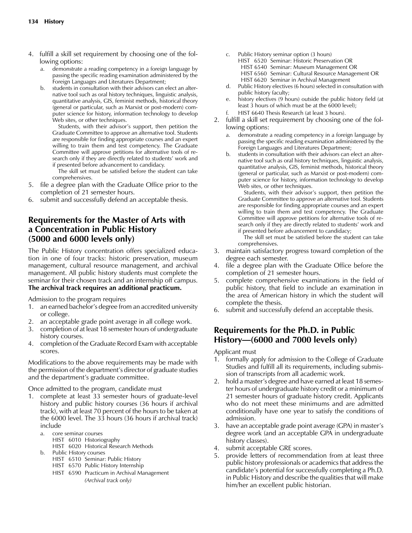- 4. fulfill a skill set requirement by choosing one of the following options:
	- a. demonstrate a reading competency in a foreign language by passing the specific reading examination administered by the Foreign Languages and Literatures Department;
	- b. students in consultation with their advisors can elect an alternative tool such as oral history techniques, linguistic analysis, quantitative analysis, GIS, feminist methods, historical theory (general or particular, such as Marxist or post-modern) computer science for history, information technology to develop Web sites, or other techniques.

 Students, with their advisor's support, then petition the Graduate Committee to approve an alternative tool. Students are responsible for finding appropriate courses and an expert willing to train them and test competency. The Graduate Committee will approve petitions for alternative tools of research only if they are directly related to students' work and if presented before advancement to candidacy.

 The skill set must be satisfied before the student can take comprehensives.

- 5. file a degree plan with the Graduate Office prior to the completion of 21 semester hours.
- 6. submit and successfully defend an acceptable thesis.

## **Requirements for the Master of Arts with a Concentration in Public History (5000 and 6000 levels only)**

The Public History concentration offers specialized education in one of four tracks: historic preservation, museum management, cultural resource management, and archival management. All public history students must complete the seminar for their chosen track and an internship off campus. **The archival track requires an additional practicum.**

Admission to the program requires

- 1. an earned bachelor's degree from an accredited university or college.
- 2. an acceptable grade point average in all college work.
- 3. completion of at least 18 semester hours of undergraduate history courses.
- 4. completion of the Graduate Record Exam with acceptable scores.

Modifications to the above requirements may be made with the permission of the department's director of graduate studies and the department's graduate committee.

Once admitted to the program, candidate must

- 1. complete at least 33 semester hours of graduate-level history and public history courses (36 hours if archival track), with at least 70 percent of the hours to be taken at the 6000 level. The 33 hours (36 hours if archival track) include
	- a. core seminar courses HIST 6010 Historiography HIST 6020 Historical Research Methods
	- b. Public History courses
		- HIST 6510 Seminar: Public History
		- HIST 6570 Public History Internship
		- HIST 6590 Practicum in Archival Management *(Archival track only)*
- c. Public History seminar option (3 hours)
	- HIST 6520 Seminar: Historic Preservation OR
	- HIST 6540 Seminar: Museum Management OR
	- HIST 6560 Seminar: Cultural Resource Management OR
	- HIST 6620 Seminar in Archival Management
- d. Public History electives (6 hours) selected in consultation with public history faculty;
- e. history electives (9 hours) outside the public history field (at least 3 hours of which must be at the 6000 level);
- f. HIST 6640 Thesis Research (at least 3 hours).
- 2. fulfill a skill set requirement by choosing one of the following options:
	- a. demonstrate a reading competency in a foreign language by passing the specific reading examination administered by the Foreign Languages and Literatures Department;
	- b. students in consultation with their advisors can elect an alternative tool such as oral history techniques, linguistic analysis, quantitative analysis, GIS, feminist methods, historical theory (general or particular, such as Marxist or post-modern) computer science for history, information technology to develop Web sites, or other techniques.

 Students, with their advisor's support, then petition the Graduate Committee to approve an alternative tool. Students are responsible for finding appropriate courses and an expert willing to train them and test competency. The Graduate Committee will approve petitions for alternative tools of research only if they are directly related to students' work and if presented before advancement to candidacy;

 The skill set must be satisfied before the student can take comprehensives.

- 3. maintain satisfactory progress toward completion of the degree each semester.
- 4. file a degree plan with the Graduate Office before the completion of 21 semester hours.
- 5. complete comprehensive examinations in the field of public history, that field to include an examination in the area of American history in which the student will complete the thesis.
- 6. submit and successfully defend an acceptable thesis.

## **Requirements for the Ph.D. in Public History—(6000 and 7000 levels only)**

Applicant must

- 1. formally apply for admission to the College of Graduate Studies and fulfill all its requirements, including submission of transcripts from all academic work.
- 2. hold a master's degree and have earned at least 18 semester hours of undergraduate history credit or a minimum of 21 semester hours of graduate history credit. Applicants who do not meet these minimums and are admitted conditionally have one year to satisfy the conditions of admission.
- 3. have an acceptable grade point average (GPA) in master's degree work (and an acceptable GPA in undergraduate history classes).
- 4. submit acceptable GRE scores.
- 5. provide letters of recommendation from at least three public history professionals or academics that address the candidate's potential for successfully completing a Ph.D. in Public History and describe the qualities that will make him/her an excellent public historian.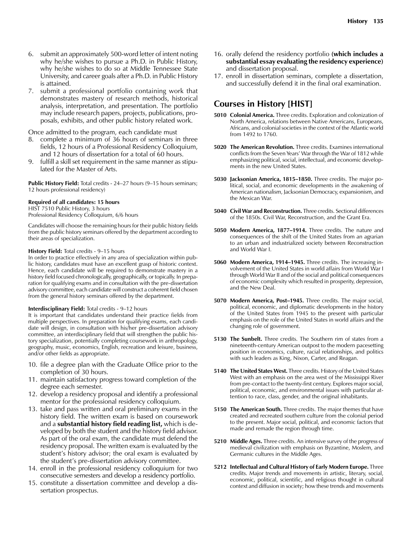- 6. submit an approximately 500-word letter of intent noting why he/she wishes to pursue a Ph.D. in Public History, why he/she wishes to do so at Middle Tennessee State University, and career goals after a Ph.D. in Public History is attained.
- 7. submit a professional portfolio containing work that demonstrates mastery of research methods, historical analysis, interpretation, and presentation. The portfolio may include research papers, projects, publications, proposals, exhibits, and other public history related work.

Once admitted to the program, each candidate must

- 8. complete a minimum of 36 hours of seminars in three fields, 12 hours of a Professional Residency Colloquium, and 12 hours of dissertation for a total of 60 hours.
- 9. fulfill a skill set requirement in the same manner as stipulated for the Master of Arts.

**Public History Field:** Total credits - 24–27 hours (9–15 hours seminars; 12 hours professional residency)

#### **Required of all candidates: 15 hours**

HIST 7510 Public History, 3 hours Professional Residency Colloquium, 6/6 hours

Candidates will choose the remaining hours for their public history fields from the public history seminars offered by the department according to their areas of specialization.

#### **History Field:** Total credits - 9–15 hours

In order to practice effectively in any area of specialization within public history, candidates must have an excellent grasp of historic context. Hence, each candidate will be required to demonstrate mastery in a history field focused chronologically, geographically, or topically. In preparation for qualifying exams and in consultation with the pre-dissertation advisory committee, each candidate will construct a coherent field chosen from the general history seminars offered by the department.

#### **Interdisciplinary Field:** Total credits - 9–12 hours

It is important that candidates understand their practice fields from multiple perspectives. In preparation for qualifying exams, each candidate will design, in consultation with his/her pre-dissertation advisory committee, an interdisciplinary field that will strengthen the public history specialization, potentially completing coursework in anthropology, geography, music, economics, English, recreation and leisure, business, and/or other fields as appropriate.

- 10. file a degree plan with the Graduate Office prior to the completion of 30 hours.
- 11. maintain satisfactory progress toward completion of the degree each semester.
- 12. develop a residency proposal and identify a professional mentor for the professional residency colloquium.
- 13. take and pass written and oral preliminary exams in the history field. The written exam is based on coursework and a **substantial history field reading list,** which is developed by both the student and the history field advisor. As part of the oral exam, the candidate must defend the residency proposal. The written exam is evaluated by the student's history advisor; the oral exam is evaluated by the student's pre-dissertation advisory committee.
- 14. enroll in the professional residency colloquium for two consecutive semesters and develop a residency portfolio.
- 15. constitute a dissertation committee and develop a dissertation prospectus.
- 16. orally defend the residency portfolio **(which includes a substantial essay evaluating the residency experience)** and dissertation proposal.
- 17. enroll in dissertation seminars, complete a dissertation, and successfully defend it in the final oral examination.

### **Courses in History [HIST]**

- **5010 Colonial America.** Three credits. Exploration and colonization of North America, relations between Native Americans, Europeans, Africans, and colonial societies in the context of the Atlantic world from 1492 to 1760.
- **5020 The American Revolution.** Three credits. Examines international conflicts from the Seven Years' War through the War of 1812 while emphasizing political, social, intellectual, and economic developments in the new United States.
- **5030 Jacksonian America, 1815–1850.** Three credits. The major political, social, and economic developments in the awakening of American nationalism, Jacksonian Democracy, expansionism, and the Mexican War.
- **5040 Civil War and Reconstruction.** Three credits. Sectional differences of the 1850s. Civil War, Reconstruction, and the Grant Era.
- **5050 Modern America, 1877–1914.** Three credits. The nature and consequences of the shift of the United States from an agrarian to an urban and industrialized society between Reconstruction and World War I.
- **5060 Modern America, 1914–1945.** Three credits. The increasing involvement of the United States in world affairs from World War I through World War II and of the social and political consequences of economic complexity which resulted in prosperity, depression, and the New Deal.
- **5070 Modern America, Post–1945.** Three credits. The major social, political, economic, and diplomatic developments in the history of the United States from 1945 to the present with particular emphasis on the role of the United States in world affairs and the changing role of government.
- **5130 The Sunbelt.** Three credits. The Southern rim of states from a nineteenth-century American outpost to the modern pacesetting position in economics, culture, racial relationships, and politics with such leaders as King, Nixon, Carter, and Reagan.
- **5140 The United States West.** Three credits. History of the United States West with an emphasis on the area west of the Mississippi River from pre-contact to the twenty-first century. Explores major social, political, economic, and environmental issues with particular attention to race, class, gender, and the original inhabitants.
- **5150 The American South.** Three credits. The major themes that have created and recreated southern culture from the colonial period to the present. Major social, political, and economic factors that made and remade the region through time.
- **5210 Middle Ages.** Three credits. An intensive survey of the progress of medieval civilization with emphasis on Byzantine, Moslem, and Germanic cultures in the Middle Ages.
- **5212 Intellectual and Cultural History of Early Modern Europe.** Three credits. Major trends and movements in artistic, literary, social, economic, political, scientific, and religious thought in cultural context and diffusion in society; how these trends and movements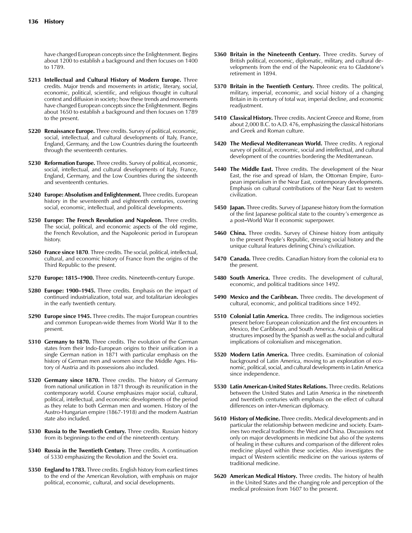have changed European concepts since the Enlightenment. Begins about 1200 to establish a background and then focuses on 1400 to 1789.

- **5213 Intellectual and Cultural History of Modern Europe.** Three credits. Major trends and movements in artistic, literary, social, economic, political, scientific, and religious thought in cultural context and diffusion in society; how these trends and movements have changed European concepts since the Enlightenment. Begins about 1650 to establish a background and then focuses on 1789 to the present.
- **5220 Renaissance Europe.** Three credits. Survey of political, economic, social, intellectual, and cultural developments of Italy, France, England, Germany, and the Low Countries during the fourteenth through the seventeenth centuries.
- **5230 Reformation Europe.** Three credits. Survey of political, economic, social, intellectual, and cultural developments of Italy, France, England, Germany, and the Low Countries during the sixteenth and seventeenth centuries.
- **5240 Europe: Absolutism and Enlightenment.** Three credits. European history in the seventeenth and eighteenth centuries, covering social, economic, intellectual, and political developments.
- **5250 Europe: The French Revolution and Napoleon.** Three credits. The social, political, and economic aspects of the old regime, the French Revolution, and the Napoleonic period in European history.
- **5260 France since 1870**. Three credits. The social, political, intellectual, cultural, and economic history of France from the origins of the Third Republic to the present.
- **5270 Europe: 1815–1900.** Three credits. Nineteenth-century Europe.
- **5280 Europe: 1900–1945.** Three credits. Emphasis on the impact of continued industrialization, total war, and totalitarian ideologies in the early twentieth century.
- **5290 Europe since 1945.** Three credits. The major European countries and common European-wide themes from World War II to the present.
- **5310 Germany to 1870.** Three credits. The evolution of the German states from their Indo-European origins to their unification in a single German nation in 1871 with particular emphasis on the history of German men and women since the Middle Ages. History of Austria and its possessions also included.
- **5320 Germany since 1870.** Three credits. The history of Germany from national unification in 1871 through its reunification in the contemporary world. Course emphasizes major social, cultural, political, intellectual, and economic developments of the period as they relate to both German men and women. History of the Austro-Hungarian empire (1867-1918) and the modern Austrian state also included.
- **5330 Russia to the Twentieth Century.** Three credits. Russian history from its beginnings to the end of the nineteenth century.
- **5340 Russia in the Twentieth Century.** Three credits. A continuation of 5330 emphasizing the Revolution and the Soviet era.
- **5350 England to 1783.** Three credits. English history from earliest times to the end of the American Revolution, with emphasis on major political, economic, cultural, and social developments.
- **5360 Britain in the Nineteenth Century.** Three credits. Survey of British political, economic, diplomatic, military, and cultural developments from the end of the Napoleonic era to Gladstone's retirement in 1894.
- **5370 Britain in the Twentieth Century.** Three credits. The political, military, imperial, economic, and social history of a changing Britain in its century of total war, imperial decline, and economic readjustment.
- **5410 Classical History.** Three credits. Ancient Greece and Rome, from about 2,000 B.C. to A.D. 476, emphasizing the classical historians and Greek and Roman culture.
- **5420 The Medieval Mediterranean World.** Three credits. A regional survey of political, economic, social and intellectual, and cultural development of the countries bordering the Mediterranean.
- **5440 The Middle East.** Three credits. The development of the Near East, the rise and spread of Islam, the Ottoman Empire, European imperialism in the Near East, contemporary developments. Emphasis on cultural contributions of the Near East to western civilization.
- **5450 Japan.** Three credits. Survey of Japanese history from the formation of the first Japanese political state to the country's emergence as a post**–**World War II economic superpower.
- **5460 China.** Three credits. Survey of Chinese history from antiquity to the present People's Republic, stressing social history and the unique cultural features defining China's civilization.
- **5470 Canada.** Three credits. Canadian history from the colonial era to the present.
- **5480 South America.** Three credits. The development of cultural, economic, and political traditions since 1492.
- **5490 Mexico and the Caribbean.** Three credits. The development of cultural, economic, and political traditions since 1492.
- **5510 Colonial Latin America.** Three credits. The indigenous societies present before European colonization and the first encounters in Mexico, the Caribbean, and South America. Analysis of political structures imposed by the Spanish as well as the social and cultural implications of colonialism and miscegenation.
- **5520 Modern Latin America.** Three credits. Examination of colonial background of Latin America, moving to an exploration of economic, political, social, and cultural developmentsin Latin America since independence.
- **5530 Latin American-United States Relations.** Three credits. Relations between the United States and Latin America in the nineteenth and twentieth centuries with emphasis on the effect of cultural differences on inter-American diplomacy.
- **5610 History of Medicine.** Three credits. Medical developments and in particular the relationship between medicine and society. Examines two medical traditions: the West and China. Discussions not only on major developments in medicine but also of the systems of healing in these cultures and comparison of the different roles medicine played within these societies. Also investigates the impact of Western scientific medicine on the various systems of traditional medicine.
- **5620 American Medical History.** Three credits. The history of health in the United States and the changing role and perception of the medical profession from 1607 to the present.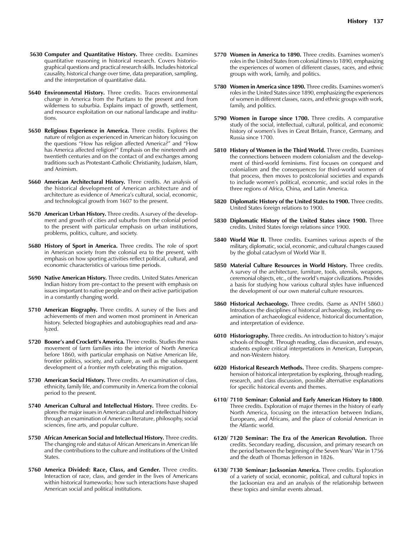- **5630 Computer and Quantitative History.** Three credits. Examines quantitative reasoning in historical research. Covers historiographical questions and practical research skills. Includes historical causality, historical change over time, data preparation, sampling, and the interpretation of quantitative data.
- **5640 Environmental History.** Three credits. Traces environmental change in America from the Puritans to the present and from wilderness to suburbia. Explains impact of growth, settlement, and resource exploitation on our national landscape and institutions.
- **5650 Religious Experience in America.** Three credits. Explores the nature of religion as experienced in American history focusing on the questions "How has religion affected America?" and "How has America affected religion?" Emphasis on the nineteenth and twentieth centuries and on the contact of and exchanges among traditions such as Protestant-Catholic Christianity, Judaism, Islam, and Animism.
- **5660 American Architectural History.** Three credits. An analysis of the historical development of American architecture and of architecture as evidence of America's cultural, social, economic, and technological growth from 1607 to the present.
- **5670 American Urban History.** Three credits. A survey of the development and growth of cities and suburbs from the colonial period to the present with particular emphasis on urban institutions, problems, politics, culture, and society.
- **5680 History of Sport in America.** Three credits. The role of sport in American society from the colonial era to the present, with emphasis on how sporting activities reflect political, cultural, and economic characteristics of various time periods.
- **5690 Native American History.** Three credits. United States American Indian history from pre-contact to the present with emphasis on issues important to native people and on their active participation in a constantly changing world.
- **5710 American Biography.** Three credits. A survey of the lives and achievements of men and women most prominent in American history. Selected biographies and autobiographies read and analyzed.
- **5720 Boone's and Crockett's America.** Three credits. Studies the mass movement of farm families into the interior of North America before 1860, with particular emphasis on Native American life, frontier politics, society, and culture, as well as the subsequent development of a frontier myth celebrating this migration.
- **5730 American Social History.** Three credits. An examination of class, ethnicity, family life, and community in America from the colonial period to the present.
- **5740 American Cultural and Intellectual History.** Three credits. Explores the major issues in American cultural and intellectual history through an examination of American literature, philosophy, social sciences, fine arts, and popular culture.
- **5750 African American Social and Intellectual History.** Three credits. The changing role and status of African Americans in American life and the contributions to the culture and institutions of the United States.
- **5760 America Divided: Race, Class, and Gender.** Three credits. Interaction of race, class, and gender in the lives of Americans within historical frameworks; how such interactions have shaped American social and political institutions.
- **5770 Women in America to 1890.** Three credits. Examines women's roles in the United States from colonial times to 1890, emphasizing the experiences of women of different classes, races, and ethnic groups with work, family, and politics.
- **5780 Women in America since 1890.** Three credits. Examines women's roles in the United States since 1890, emphasizing the experiences of women in different classes, races, and ethnic groups with work, family, and politics.
- **5790 Women in Europe since 1700.** Three credits. A comparative study of the social, intellectual, cultural, political, and economic history of women's lives in Great Britain, France, Germany, and Russia since 1700.
- **5810 History of Women in the Third World.** Three credits. Examines the connections between modern colonialism and the development of third-world feminisms. First focuses on conquest and colonialism and the consequences for third-world women of that process, then moves to postcolonial societies and expands to include women's political, economic, and social roles in the three regions of Africa, China, and Latin America.
- **5820 Diplomatic History of the United States to 1900.** Three credits. United States foreign relations to 1900.
- **5830 Diplomatic History of the United States since 1900.** Three credits. United States foreign relations since 1900.
- **5840 World War II.** Three credits. Examines various aspects of the military, diplomatic, social, economic, and cultural changes caused by the global cataclysm of World War II.
- **5850 Material Culture Resources in World History.** Three credits. A survey of the architecture, furniture, tools, utensils, weapons, ceremonial objects, etc., of the world's major civilizations. Provides a basis for studying how various cultural styles have influenced the development of our own material culture resources.
- **5860 Historical Archaeology.** Three credits. (Same as ANTH 5860.) Introduces the disciplines of historical archaeology, including examination of archaeological evidence, historical documentation, and interpretation of evidence.
- **6010 Historiography.** Three credits. An introduction to history's major schools of thought. Through reading, class discussion, and essays, students explore critical interpretations in American, European, and non-Western history.
- **6020 Historical Research Methods.** Three credits. Sharpens comprehension of historical interpretation by exploring, through reading, research, and class discussion, possible alternative explanations for specific historical events and themes.
- **6110/ 7110 Seminar: Colonial and Early American History to 1800**. Three credits. Exploration of major themes in the history of early North America, focusing on the interaction between Indians, Europeans, and Africans, and the place of colonial American in the Atlantic world.
- **6120/ 7120 Seminar: The Era of the American Revolution.** Three credits. Secondary reading, discussion, and primary research on the period between the beginning of the Seven Years' War in 1756 and the death of Thomas Jefferson in 1826.
- **6130/ 7130 Seminar: Jacksonian America.** Three credits. Exploration of a variety of social, economic, political, and cultural topics in the Jacksonian era and an analysis of the relationship between these topics and similar events abroad.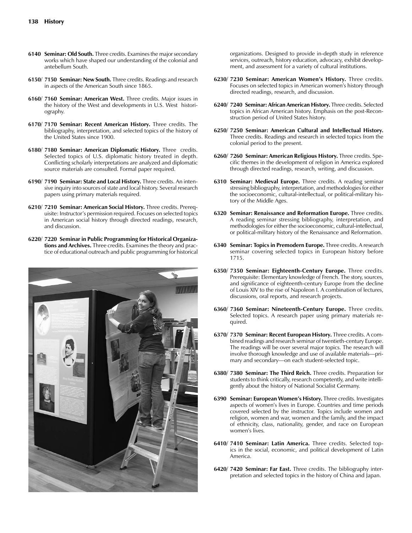- **6140 Seminar: Old South.** Three credits. Examines the major secondary works which have shaped our understanding of the colonial and antebellum South.
- **6150/ 7150 Seminar: New South.** Three credits. Readings and research in aspects of the American South since 1865.
- **6160/ 7160 Seminar: American West.** Three credits. Major issues in the history of the West and developments in U.S. West historiography.
- **6170/ 7170 Seminar: Recent American History.** Three credits. The bibliography, interpretation, and selected topics of the history of the United States since 1900.
- **6180/ 7180 Seminar: American Diplomatic History.** Three credits. Selected topics of U.S. diplomatic history treated in depth. Conflicting scholarly interpretations are analyzed and diplomatic source materials are consulted. Formal paper required.
- **6190/ 7190 Seminar: State and Local History.** Three credits. An intensive inquiry into sources of state and local history. Several research papers using primary materials required.
- **6210/ 7210 Seminar: American Social History.** Three credits. Prerequisite: Instructor's permission required. Focuses on selected topics in American social history through directed readings, research, and discussion.
- **6220/ 7220 Seminar in Public Programming for Historical Organizations and Archives.** Three credits. Examines the theory and practice of educational outreach and public programming for historical



organizations. Designed to provide in-depth study in reference services, outreach, history education, advocacy, exhibit development, and assessment for a variety of cultural institutions.

- **6230/ 7230 Seminar: American Women's History.** Three credits. Focuses on selected topics in American women's history through directed readings, research, and discussion.
- **6240/ 7240 Seminar: African American History.** Three credits. Selected topics in African American history. Emphasis on the post-Reconstruction period of United States history.
- **6250/ 7250 Seminar: American Cultural and Intellectual History.** Three credits. Readings and research in selected topics from the colonial period to the present.
- **6260/ 7260 Seminar: American Religious History.** Three credits. Specific themes in the development of religion in America explored through directed readings, research, writing, and discussion.
- **6310 Seminar: Medieval Europe.** Three credits. A reading seminar stressing bibliography, interpretation, and methodologies for either the socioeconomic, cultural-intellectual, or political-military history of the Middle Ages.
- **6320 Seminar: Renaissance and Reformation Europe.** Three credits. A reading seminar stressing bibliography, interpretation, and methodologies for either the socioeconomic, cultural-intellectual, or political-military history of the Renaissance and Reformation.
- **6340 Seminar: Topics in Premodern Europe.** Three credits. A research seminar covering selected topics in European history before 1715.
- **6350/ 7350 Seminar: Eighteenth-Century Europe.** Three credits. Prerequisite: Elementary knowledge of French. The story, sources, and significance of eighteenth-century Europe from the decline of Louis XIV to the rise of Napoleon I. A combination of lectures, discussions, oral reports, and research projects.
- **6360/ 7360 Seminar: Nineteenth-Century Europe.** Three credits. Selected topics. A research paper using primary materials required.
- **6370/ 7370 Seminar: Recent European History.** Three credits. A combined readings and research seminar of twentieth-century Europe. The readings will be over several major topics. The research will involve thorough knowledge and use of available materials—primary and secondary—on each student-selected topic.
- **6380/ 7380 Seminar: The Third Reich.** Three credits. Preparation for students to think critically, research competently, and write intelligently about the history of National Socialist Germany.
- **6390 Seminar: European Women's History.** Three credits. Investigates aspects of women's lives in Europe. Countries and time periods covered selected by the instructor. Topics include women and religion, women and war, women and the family, and the impact of ethnicity, class, nationality, gender, and race on European women's lives.
- **6410/ 7410 Seminar: Latin America.** Three credits. Selected topics in the social, economic, and political development of Latin America.
- **6420/ 7420 Seminar: Far East.** Three credits. The bibliography interpretation and selected topics in the history of China and Japan.